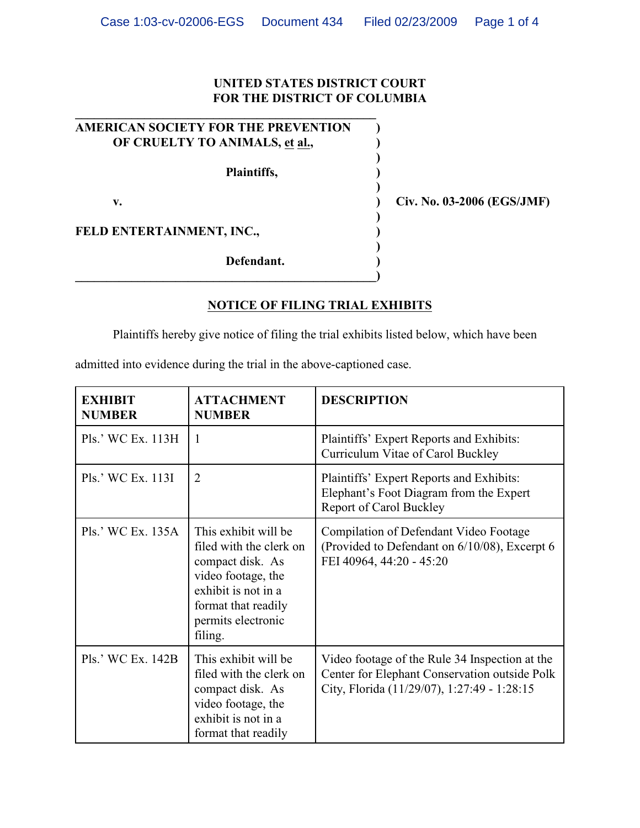## **UNITED STATES DISTRICT COURT FOR THE DISTRICT OF COLUMBIA**

**)**

**)**

**)** 

**)**

| <b>AMERICAN SOCIETY FOR THE PREVENTION</b> |  |
|--------------------------------------------|--|
| OF CRUELTY TO ANIMALS, et al.,             |  |
|                                            |  |

**\_\_\_\_\_\_\_\_\_\_\_\_\_\_\_\_\_\_\_\_\_\_\_\_\_\_\_\_\_\_\_\_\_\_\_\_\_\_\_\_\_\_\_\_\_\_\_\_)**

**\_\_\_\_\_\_\_\_\_\_\_\_\_\_\_\_\_\_\_\_\_\_\_\_\_\_\_\_\_\_\_\_\_\_\_\_\_\_\_\_\_\_\_\_\_\_\_\_**

**Plaintiffs, )**

**FELD ENTERTAINMENT, INC., )**

**Defendant. )**

**v. ) Civ. No. 03-2006 (EGS/JMF)**

**NOTICE OF FILING TRIAL EXHIBITS**

Plaintiffs hereby give notice of filing the trial exhibits listed below, which have been

admitted into evidence during the trial in the above-captioned case.

| <b>EXHIBIT</b><br><b>NUMBER</b> | <b>ATTACHMENT</b><br><b>NUMBER</b>                                                                                                                                       | <b>DESCRIPTION</b>                                                                                                                             |
|---------------------------------|--------------------------------------------------------------------------------------------------------------------------------------------------------------------------|------------------------------------------------------------------------------------------------------------------------------------------------|
| Pls.' WC Ex. 113H               | $\overline{1}$                                                                                                                                                           | Plaintiffs' Expert Reports and Exhibits:<br>Curriculum Vitae of Carol Buckley                                                                  |
| Pls.' WC Ex. 113I               | $\overline{2}$                                                                                                                                                           | Plaintiffs' Expert Reports and Exhibits:<br>Elephant's Foot Diagram from the Expert<br><b>Report of Carol Buckley</b>                          |
| Pls.' WC Ex. 135A               | This exhibit will be<br>filed with the clerk on<br>compact disk. As<br>video footage, the<br>exhibit is not in a<br>format that readily<br>permits electronic<br>filing. | Compilation of Defendant Video Footage<br>(Provided to Defendant on 6/10/08), Excerpt 6<br>FEI 40964, 44:20 - 45:20                            |
| Pls.' WC Ex. 142B               | This exhibit will be<br>filed with the clerk on<br>compact disk. As<br>video footage, the<br>exhibit is not in a<br>format that readily                                  | Video footage of the Rule 34 Inspection at the<br>Center for Elephant Conservation outside Polk<br>City, Florida (11/29/07), 1:27:49 - 1:28:15 |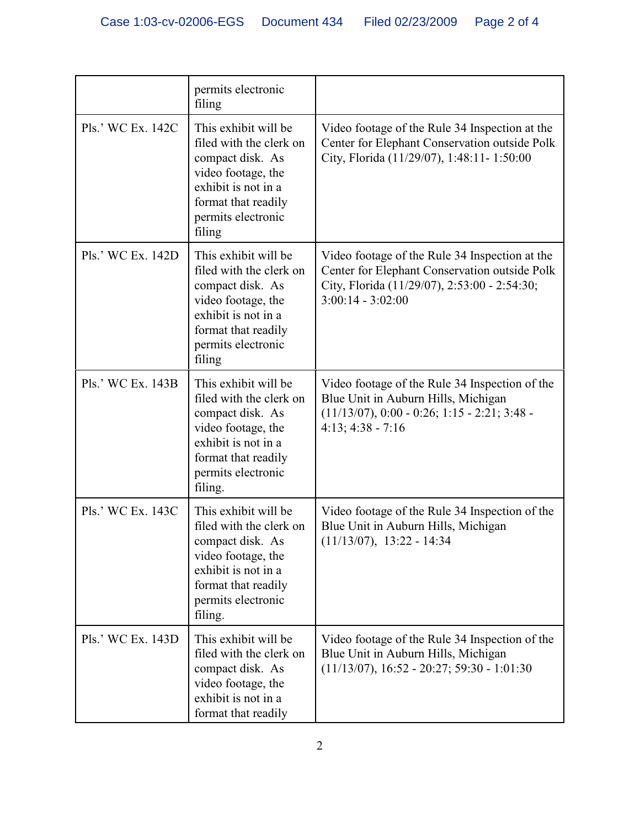|                   | permits electronic<br>filing                                                                                                                                             |                                                                                                                                                                        |
|-------------------|--------------------------------------------------------------------------------------------------------------------------------------------------------------------------|------------------------------------------------------------------------------------------------------------------------------------------------------------------------|
| Pls.' WC Ex. 142C | This exhibit will be<br>filed with the clerk on<br>compact disk. As<br>video footage, the<br>exhibit is not in a<br>format that readily<br>permits electronic<br>filing  | Video footage of the Rule 34 Inspection at the<br>Center for Elephant Conservation outside Polk<br>City, Florida (11/29/07), 1:48:11-1:50:00                           |
| Pls.' WC Ex. 142D | This exhibit will be<br>filed with the clerk on<br>compact disk. As<br>video footage, the<br>exhibit is not in a<br>format that readily<br>permits electronic<br>filing  | Video footage of the Rule 34 Inspection at the<br>Center for Elephant Conservation outside Polk<br>City, Florida (11/29/07), 2:53:00 - 2:54:30;<br>$3:00:14 - 3:02:00$ |
| Pls.' WC Ex. 143B | This exhibit will be<br>filed with the clerk on<br>compact disk. As<br>video footage, the<br>exhibit is not in a<br>format that readily<br>permits electronic<br>filing. | Video footage of the Rule 34 Inspection of the<br>Blue Unit in Auburn Hills, Michigan<br>$(11/13/07), 0:00 - 0:26; 1:15 - 2:21; 3:48 -$<br>$4:13; 4:38 - 7:16$         |
| Pls.' WC Ex. 143C | This exhibit will be<br>filed with the clerk on<br>compact disk. As<br>video footage, the<br>exhibit is not in a<br>format that readily<br>permits electronic<br>filing. | Video footage of the Rule 34 Inspection of the<br>Blue Unit in Auburn Hills, Michigan<br>$(11/13/07), 13:22 - 14:34$                                                   |
| Pls.' WC Ex. 143D | This exhibit will be<br>filed with the clerk on<br>compact disk. As<br>video footage, the<br>exhibit is not in a<br>format that readily                                  | Video footage of the Rule 34 Inspection of the<br>Blue Unit in Auburn Hills, Michigan<br>$(11/13/07), 16:52 - 20:27; 59:30 - 1:01:30$                                  |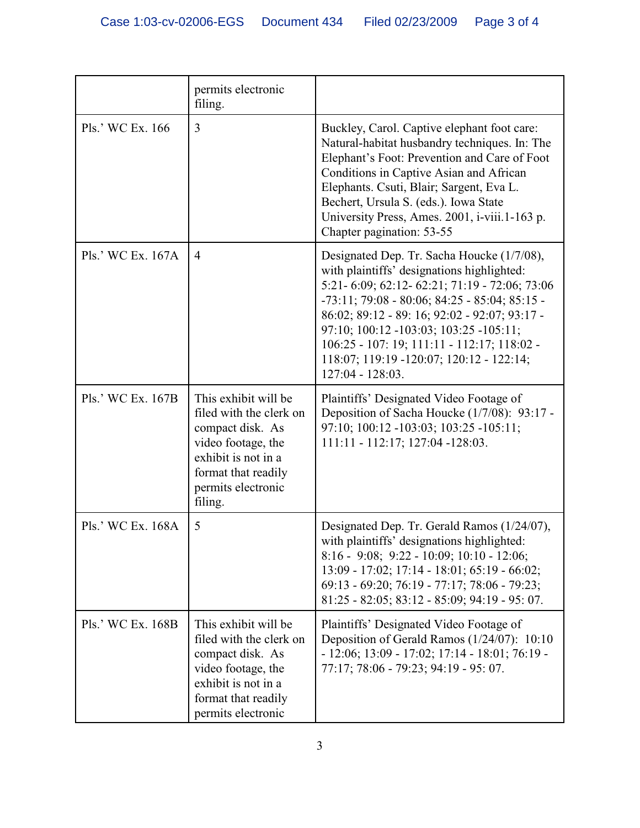|                   | permits electronic<br>filing.                                                                                                                                            |                                                                                                                                                                                                                                                                                                                                                                                                       |
|-------------------|--------------------------------------------------------------------------------------------------------------------------------------------------------------------------|-------------------------------------------------------------------------------------------------------------------------------------------------------------------------------------------------------------------------------------------------------------------------------------------------------------------------------------------------------------------------------------------------------|
| Pls.' WC Ex. 166  | $\overline{3}$                                                                                                                                                           | Buckley, Carol. Captive elephant foot care:<br>Natural-habitat husbandry techniques. In: The<br>Elephant's Foot: Prevention and Care of Foot<br>Conditions in Captive Asian and African<br>Elephants. Csuti, Blair; Sargent, Eva L.<br>Bechert, Ursula S. (eds.). Iowa State<br>University Press, Ames. 2001, i-viii.1-163 p.<br>Chapter pagination: 53-55                                            |
| Pls.' WC Ex. 167A | $\overline{4}$                                                                                                                                                           | Designated Dep. Tr. Sacha Houcke (1/7/08),<br>with plaintiffs' designations highlighted:<br>5:21-6:09; 62:12-62:21; 71:19 - 72:06; 73:06<br>$-73:11; 79:08 - 80:06; 84:25 - 85:04; 85:15 -$<br>86:02; 89:12 - 89: 16; 92:02 - 92:07; 93:17 -<br>97:10; 100:12 -103:03; 103:25 -105:11;<br>106:25 - 107: 19; 111:11 - 112:17; 118:02 -<br>118:07; 119:19 -120:07; 120:12 - 122:14;<br>127:04 - 128:03. |
| Pls.' WC Ex. 167B | This exhibit will be<br>filed with the clerk on<br>compact disk. As<br>video footage, the<br>exhibit is not in a<br>format that readily<br>permits electronic<br>filing. | Plaintiffs' Designated Video Footage of<br>Deposition of Sacha Houcke (1/7/08): 93:17 -<br>97:10; 100:12 -103:03; 103:25 -105:11;<br>111:11 - 112:17; 127:04 - 128:03.                                                                                                                                                                                                                                |
| Pls.' WC Ex. 168A | 5                                                                                                                                                                        | Designated Dep. Tr. Gerald Ramos (1/24/07),<br>with plaintiffs' designations highlighted:<br>$8:16 - 9:08$ ; 9:22 - 10:09; 10:10 - 12:06;<br>13:09 - 17:02; 17:14 - 18:01; 65:19 - 66:02;<br>69:13 - 69:20; 76:19 - 77:17; 78:06 - 79:23;<br>81:25 - 82:05; 83:12 - 85:09; 94:19 - 95: 07.                                                                                                            |
| Pls.' WC Ex. 168B | This exhibit will be<br>filed with the clerk on<br>compact disk. As<br>video footage, the<br>exhibit is not in a<br>format that readily<br>permits electronic            | Plaintiffs' Designated Video Footage of<br>Deposition of Gerald Ramos (1/24/07): 10:10<br>$-12:06; 13:09 - 17:02; 17:14 - 18:01; 76:19 -$<br>77:17; 78:06 - 79:23; 94:19 - 95: 07.                                                                                                                                                                                                                    |